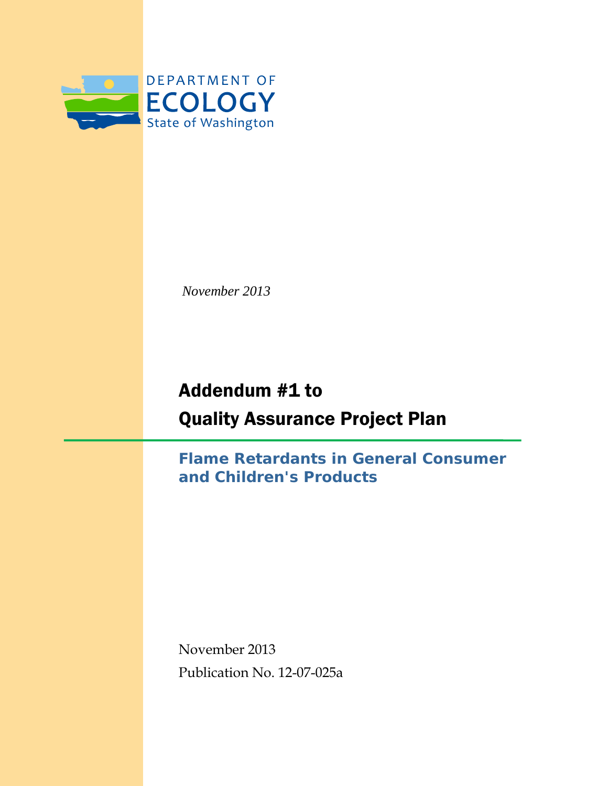

*November 2013*

# Addendum #1 to Quality Assurance Project Plan

**Flame Retardants in General Consumer and Children's Products**

November 2013 Publication No. 12-07-025a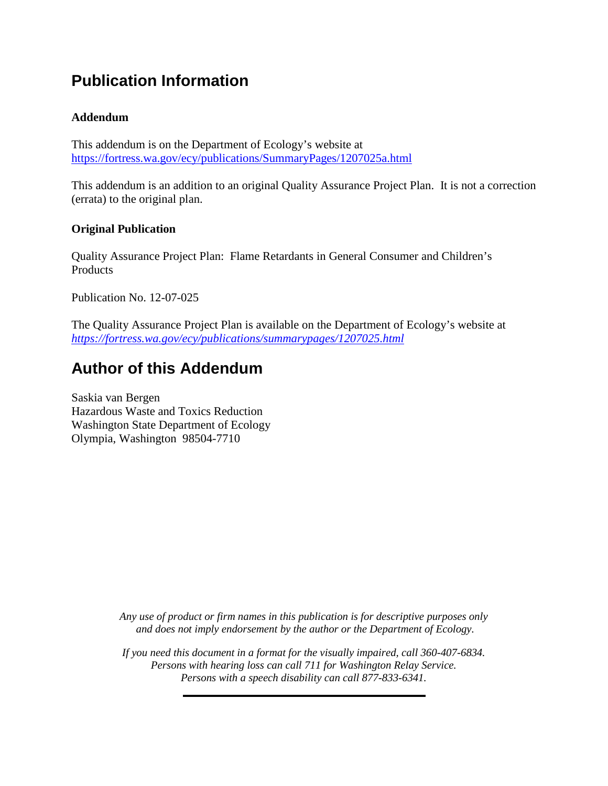## **Publication Information**

#### **Addendum**

This addendum is on the Department of Ecology's website at <https://fortress.wa.gov/ecy/publications/SummaryPages/1207025a.html>

This addendum is an addition to an original Quality Assurance Project Plan. It is not a correction (errata) to the original plan.

#### **Original Publication**

Quality Assurance Project Plan: Flame Retardants in General Consumer and Children's Products

Publication No. 12-07-025

The Quality Assurance Project Plan is available on the Department of Ecology's website at *<https://fortress.wa.gov/ecy/publications/summarypages/1207025.html>*

## **Author of this Addendum**

Saskia van Bergen Hazardous Waste and Toxics Reduction Washington State Department of Ecology Olympia, Washington 98504-7710

> *Any use of product or firm names in this publication is for descriptive purposes only and does not imply endorsement by the author or the Department of Ecology.*

> *If you need this document in a format for the visually impaired, call 360-407-6834. Persons with hearing loss can call 711 for Washington Relay Service. Persons with a speech disability can call 877-833-6341.*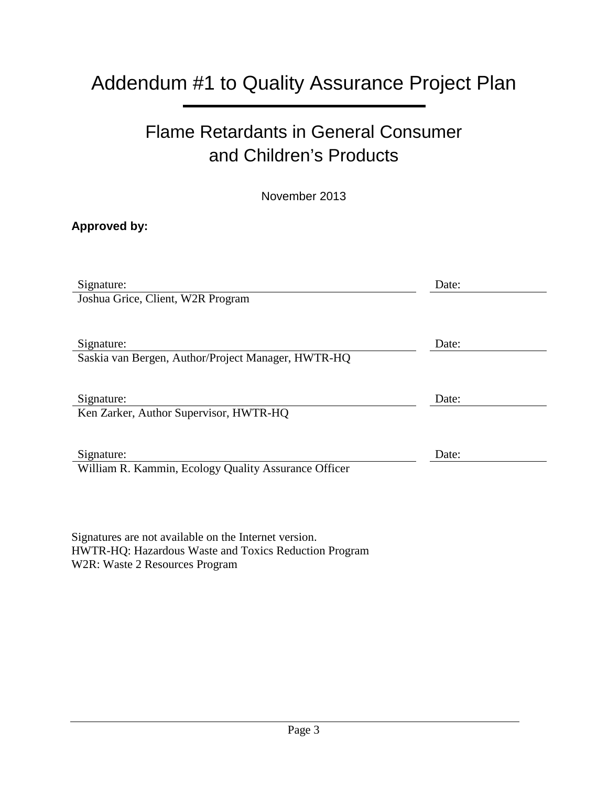## Addendum #1 to Quality Assurance Project Plan

## Flame Retardants in General Consumer and Children's Products

November 2013

#### **Approved by:**

| Signature:                                           | Date: |
|------------------------------------------------------|-------|
| Joshua Grice, Client, W2R Program                    |       |
|                                                      |       |
| Signature:                                           | Date: |
| Saskia van Bergen, Author/Project Manager, HWTR-HQ   |       |
|                                                      |       |
| Signature:                                           | Date: |
| Ken Zarker, Author Supervisor, HWTR-HQ               |       |
|                                                      |       |
| Signature:                                           | Date: |
| William R. Kammin, Ecology Quality Assurance Officer |       |
|                                                      |       |

Signatures are not available on the Internet version. HWTR-HQ: Hazardous Waste and Toxics Reduction Program W2R: Waste 2 Resources Program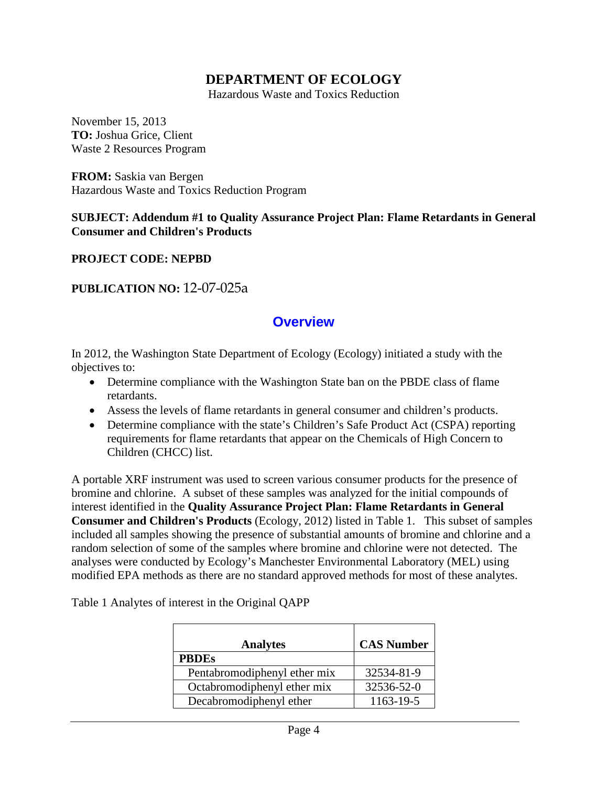#### **DEPARTMENT OF ECOLOGY**

Hazardous Waste and Toxics Reduction

November 15, 2013 **TO:** Joshua Grice, Client Waste 2 Resources Program

**FROM:** Saskia van Bergen Hazardous Waste and Toxics Reduction Program

#### **SUBJECT: Addendum #1 to Quality Assurance Project Plan: Flame Retardants in General Consumer and Children's Products**

**PROJECT CODE: NEPBD**

#### **PUBLICATION NO:** 12-07-025a

#### **Overview**

In 2012, the Washington State Department of Ecology (Ecology) initiated a study with the objectives to:

- Determine compliance with the Washington State ban on the PBDE class of flame retardants.
- Assess the levels of flame retardants in general consumer and children's products.
- Determine compliance with the state's Children's Safe Product Act (CSPA) reporting requirements for flame retardants that appear on the Chemicals of High Concern to Children (CHCC) list.

A portable XRF instrument was used to screen various consumer products for the presence of bromine and chlorine. A subset of these samples was analyzed for the initial compounds of interest identified in the **Quality Assurance Project Plan: Flame Retardants in General Consumer and Children's Products** (Ecology, 2012) listed in Table 1. This subset of samples included all samples showing the presence of substantial amounts of bromine and chlorine and a random selection of some of the samples where bromine and chlorine were not detected. The analyses were conducted by Ecology's Manchester Environmental Laboratory (MEL) using modified EPA methods as there are no standard approved methods for most of these analytes.

| <b>Analytes</b>              | <b>CAS Number</b> |
|------------------------------|-------------------|
| <b>PBDEs</b>                 |                   |
| Pentabromodiphenyl ether mix | 32534-81-9        |
| Octabromodiphenyl ether mix  | 32536-52-0        |
| Decabromodiphenyl ether      | 1163-19-5         |

Table 1 Analytes of interest in the Original QAPP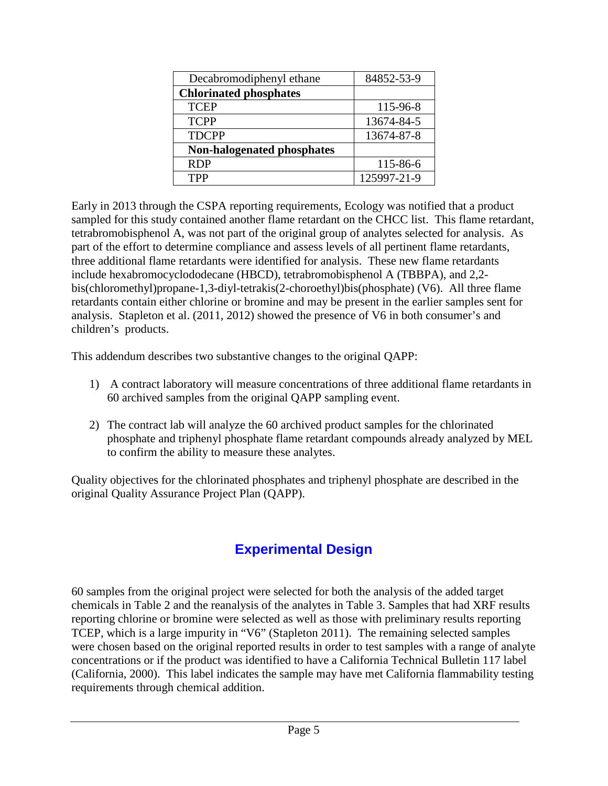| Decabromodiphenyl ethane      | 84852-53-9  |
|-------------------------------|-------------|
| <b>Chlorinated phosphates</b> |             |
| <b>TCEP</b>                   | 115-96-8    |
| <b>TCPP</b>                   | 13674-84-5  |
| <b>TDCPP</b>                  | 13674-87-8  |
| Non-halogenated phosphates    |             |
| <b>RDP</b>                    | 115-86-6    |
| <b>TPP</b>                    | 125997-21-9 |

Early in 2013 through the CSPA reporting requirements, Ecology was notified that a product sampled for this study contained another flame retardant on the CHCC list. This flame retardant, tetrabromobisphenol A, was not part of the original group of analytes selected for analysis. As part of the effort to determine compliance and assess levels of all pertinent flame retardants, three additional flame retardants were identified for analysis. These new flame retardants include hexabromocyclododecane (HBCD), tetrabromobisphenol A (TBBPA), and 2,2 bis(chloromethyl)propane-1,3-diyl-tetrakis(2-choroethyl)bis(phosphate) (V6). All three flame retardants contain either chlorine or bromine and may be present in the earlier samples sent for analysis. Stapleton et al. (2011, 2012) showed the presence of V6 in both consumer's and children's products.

This addendum describes two substantive changes to the original QAPP:

- 1) A contract laboratory will measure concentrations of three additional flame retardants in 60 archived samples from the original QAPP sampling event.
- 2) The contract lab will analyze the 60 archived product samples for the chlorinated phosphate and triphenyl phosphate flame retardant compounds already analyzed by MEL to confirm the ability to measure these analytes.

Quality objectives for the chlorinated phosphates and triphenyl phosphate are described in the original Quality Assurance Project Plan (QAPP).

## **Experimental Design**

60 samples from the original project were selected for both the analysis of the added target chemicals in Table 2 and the reanalysis of the analytes in Table 3. Samples that had XRF results reporting chlorine or bromine were selected as well as those with preliminary results reporting TCEP, which is a large impurity in "V6" (Stapleton 2011). The remaining selected samples were chosen based on the original reported results in order to test samples with a range of analyte concentrations or if the product was identified to have a California Technical Bulletin 117 label (California, 2000). This label indicates the sample may have met California flammability testing requirements through chemical addition.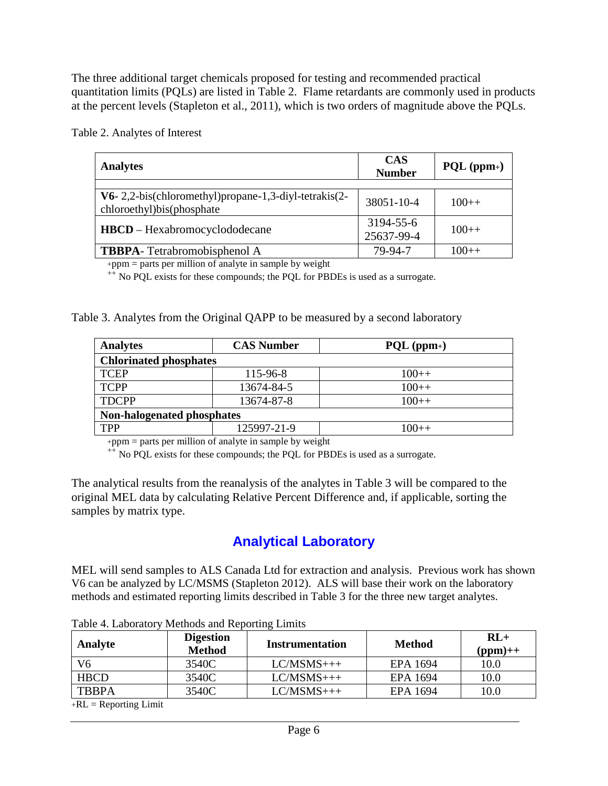The three additional target chemicals proposed for testing and recommended practical quantitation limits (PQLs) are listed in Table 2. Flame retardants are commonly used in products at the percent levels (Stapleton et al., 2011), which is two orders of magnitude above the PQLs.

Table 2. Analytes of Interest

| <b>Analytes</b>                                                                        | <b>CAS</b><br><b>Number</b> | $PQL (ppm+)$ |
|----------------------------------------------------------------------------------------|-----------------------------|--------------|
| $V6-2,2-bis$ (chloromethyl) propane-1,3-diyl-tetrakis (2-<br>chloroethyl)bis(phosphate | 38051-10-4                  | $100++$      |
| <b>HBCD</b> – Hexabromocyclododecane                                                   | 3194-55-6<br>25637-99-4     | $100++$      |
| <b>TBBPA</b> -Tetrabromobisphenol A                                                    | 79-94-7                     | $100++$      |

+ppm = parts per million of analyte in sample by weight  $+$  No PQL exists for these compounds; the PQL for PBDEs is used as a surrogate.

| Table 3. Analytes from the Original QAPP to be measured by a second laboratory |  |
|--------------------------------------------------------------------------------|--|
|                                                                                |  |

| <b>Analytes</b>               | <b>CAS Number</b> | $PQL (ppm+)$ |  |  |  |
|-------------------------------|-------------------|--------------|--|--|--|
| <b>Chlorinated phosphates</b> |                   |              |  |  |  |
| <b>TCEP</b>                   | 115-96-8          | $100++$      |  |  |  |
| <b>TCPP</b>                   | 13674-84-5        | $100++$      |  |  |  |
| <b>TDCPP</b>                  | 13674-87-8        | $100++$      |  |  |  |
| Non-halogenated phosphates    |                   |              |  |  |  |
| <b>TPP</b>                    | 125997-21-9       | 100++        |  |  |  |

 $+ppm =$  parts per million of analyte in sample by weight  $+$  No PQL exists for these compounds; the PQL for PBDEs is used as a surrogate.

The analytical results from the reanalysis of the analytes in Table 3 will be compared to the original MEL data by calculating Relative Percent Difference and, if applicable, sorting the samples by matrix type.

## **Analytical Laboratory**

MEL will send samples to ALS Canada Ltd for extraction and analysis. Previous work has shown V6 can be analyzed by LC/MSMS (Stapleton 2012). ALS will base their work on the laboratory methods and estimated reporting limits described in Table 3 for the three new target analytes.

| Analyte      | <b>Digestion</b><br><b>Method</b> | Instrumentation | <b>Method</b> | $RI +$<br>$(ppm)+$ |
|--------------|-----------------------------------|-----------------|---------------|--------------------|
| V6           | 3540C                             | $LC/MSMS+++$    | EPA 1694      | 10.0               |
| <b>HBCD</b>  | 3540C                             | $LC/MSMS+++$    | EPA 1694      | 10.0               |
| <b>TBBPA</b> | 3540C                             | $LC/MSMS+++$    | EPA 1694      | 10.0               |

Table 4. Laboratory Methods and Reporting Limits

 $+RL =$  Reporting Limit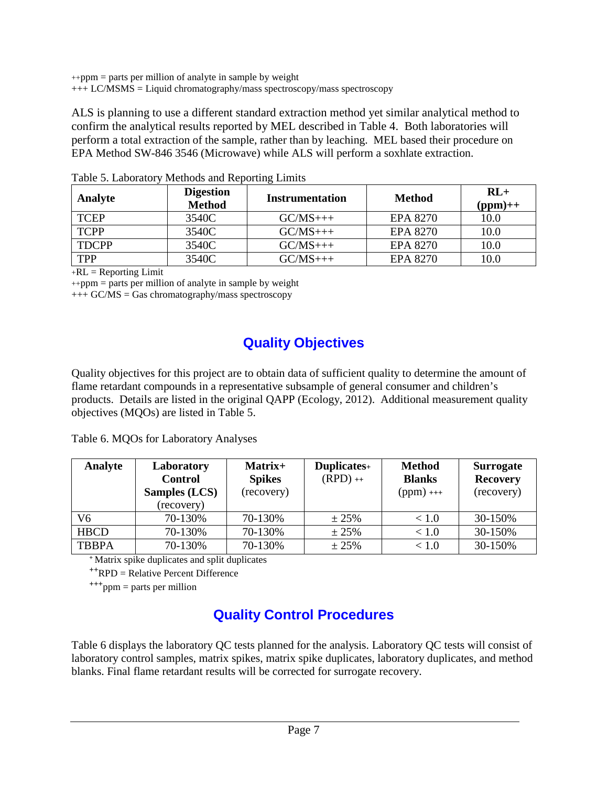++ppm = parts per million of analyte in sample by weight  $+++ LC/MSMS =$  Liquid chromatography/mass spectroscopy/mass spectroscopy

ALS is planning to use a different standard extraction method yet similar analytical method to confirm the analytical results reported by MEL described in Table 4. Both laboratories will perform a total extraction of the sample, rather than by leaching. MEL based their procedure on EPA Method SW-846 3546 (Microwave) while ALS will perform a soxhlate extraction.

| Analyte      | <b>Digestion</b><br><b>Method</b> | <b>Instrumentation</b> | <b>Method</b>   | $RL+$<br>$(ppm)+$ |
|--------------|-----------------------------------|------------------------|-----------------|-------------------|
| <b>TCEP</b>  | 3540C                             | $GC/MS$ +++            | <b>EPA 8270</b> | 10.0              |
| <b>TCPP</b>  | 3540C                             | $GC/MS++$              | <b>EPA 8270</b> | 10.0              |
| <b>TDCPP</b> | 3540C                             | $GC/MS++$              | EPA 8270        | 10.0              |
| <b>TPP</b>   | 3540C                             | $GC/MS$ +++            | <b>EPA 8270</b> | 10.0              |

Table 5. Laboratory Methods and Reporting Limits

 $+RL =$  Reporting Limit

 $+$ +ppm = parts per million of analyte in sample by weight

 $+++GC/MS = Gas$  chromatography/mass spectroscopy

## **Quality Objectives**

Quality objectives for this project are to obtain data of sufficient quality to determine the amount of flame retardant compounds in a representative subsample of general consumer and children's products. Details are listed in the original QAPP (Ecology, 2012). Additional measurement quality objectives (MQOs) are listed in Table 5.

Table 6. MQOs for Laboratory Analyses

| Analyte      | Laboratory           | Matrix+       | Duplicates+ | <b>Method</b> | <b>Surrogate</b> |
|--------------|----------------------|---------------|-------------|---------------|------------------|
|              | <b>Control</b>       | <b>Spikes</b> | $(RPD)$ ++  | <b>Blanks</b> | <b>Recovery</b>  |
|              | <b>Samples (LCS)</b> | (recovery)    |             | $(ppm)$ +++   | (recovery)       |
|              | (recovery)           |               |             |               |                  |
| V6           | 70-130%              | 70-130%       | $\pm 25\%$  | ~< 1.0        | 30-150%          |
| <b>HBCD</b>  | 70-130%              | 70-130%       | $\pm 25\%$  | < 1.0         | 30-150%          |
| <b>TBBPA</b> | 70-130%              | 70-130%       | ± 25%       | < 1.0         | 30-150%          |

**<sup>+</sup>**Matrix spike duplicates and split duplicates

**++**RPD = Relative Percent Difference

**+++**ppm = parts per million

## **Quality Control Procedures**

Table 6 displays the laboratory QC tests planned for the analysis. Laboratory QC tests will consist of laboratory control samples, matrix spikes, matrix spike duplicates, laboratory duplicates, and method blanks. Final flame retardant results will be corrected for surrogate recovery.